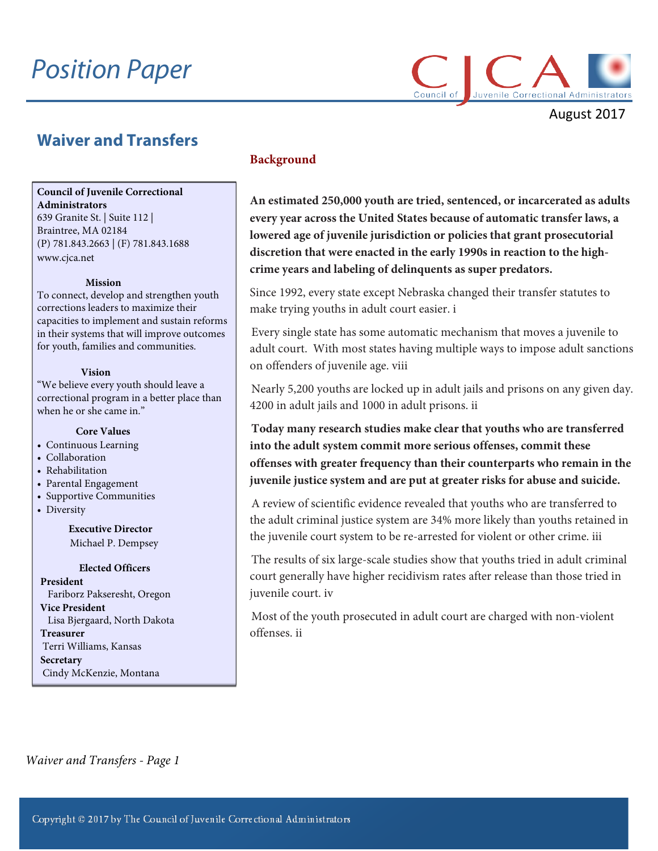# *Position Paper*



August 2017

# **Waiver and Transfers**

# **Council of Juvenile Correctional**

**Administrators** 639 Granite St. | Suite 112 | Braintree, MA 02184 (P) 781.843.2663 | (F) 781.843.1688 [www.cjca.net](http://www.cjca.net/)

#### **Mission**

To connect, develop and strengthen youth corrections leaders to maximize their capacities to implement and sustain reforms in their systems that will improve outcomes for youth, families and communities.

#### **Vision**

"We believe every youth should leave a correctional program in a better place than when he or she came in."

#### **Core Values**

- Continuous Learning
- Collaboration
- Rehabilitation
- Parental Engagement
- Supportive Communities
- Diversity

**Executive Director** Michael P. Dempsey

# **Elected Officers**

**President** Fariborz Pakseresht, Oregon **Vice President** Lisa Bjergaard, North Dakota **Treasurer** Terri Williams, Kansas **Secretary** Cindy McKenzie, Montana

# **Background**

**An estimated 250,000 youth are tried, sentenced, or incarcerated as adults every year across the United States because of automatic transfer laws, a lowered age of juvenile jurisdiction or policies that grant prosecutorial discretion that were enacted in the early 1990s in reaction to the high‐ crime years and labeling of delinquents as super predators.** 

Since 1992, every state except Nebraska changed their transfer statutes to make trying youths in adult court easier. i

Every single state has some automatic mechanism that moves a juvenile to adult court. With most states having multiple ways to impose adult sanctions on offenders of juvenile age. viii

Nearly 5,200 youths are locked up in adult jails and prisons on any given day. 4200 in adult jails and 1000 in adult prisons. ii

**Today many research studies make clear that youths who are transferred into the adult system commit more serious offenses, commit these offenses with greater frequency than their counterparts who remain in the juvenile justice system and are put at greater risks for abuse and suicide.**

A review of scientific evidence revealed that youths who are transferred to the adult criminal justice system are 34% more likely than youths retained in the juvenile court system to be re‐arrested for violent or other crime. iii

The results of six large-scale studies show that youths tried in adult criminal court generally have higher recidivism rates after release than those tried in juvenile court. iv

Most of the youth prosecuted in adult court are charged with non-violent offenses. ii

 *Waiver and Transfers - Page 1*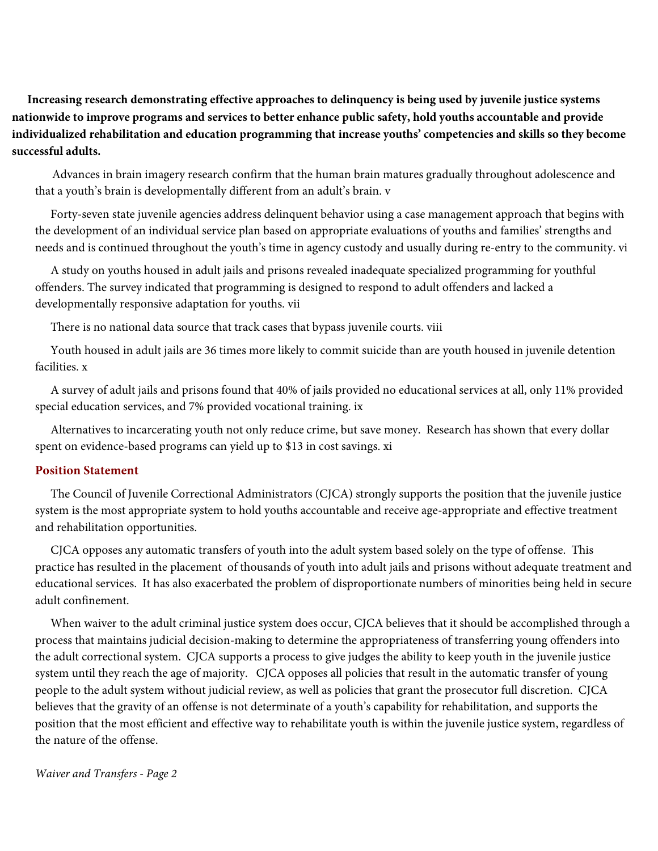**Increasing research demonstrating effective approaches to delinquency is being used by juvenile justice systems nationwide to improve programs and services to better enhance public safety, hold youths accountable and provide individualized rehabilitation and education programming that increase youths' competencies and skills so they become successful adults.**

 Advances in brain imagery research confirm that the human brain matures gradually throughout adolescence and that a youth's brain is developmentally different from an adult's brain. v

Forty-seven state juvenile agencies address delinquent behavior using a case management approach that begins with the development of an individual service plan based on appropriate evaluations of youths and families' strengths and needs and is continued throughout the youth's time in agency custody and usually during re‐entry to the community. vi

A study on youths housed in adult jails and prisons revealed inadequate specialized programming for youthful offenders. The survey indicated that programming is designed to respond to adult offenders and lacked a developmentally responsive adaptation for youths. vii

There is no national data source that track cases that bypass juvenile courts. viii

Youth housed in adult jails are 36 times more likely to commit suicide than are youth housed in juvenile detention facilities. x

A survey of adult jails and prisons found that 40% of jails provided no educational services at all, only 11% provided special education services, and 7% provided vocational training. ix

Alternatives to incarcerating youth not only reduce crime, but save money. Research has shown that every dollar spent on evidence-based programs can yield up to \$13 in cost savings. xi

# **Position Statement**

The Council of Juvenile Correctional Administrators (CJCA) strongly supports the position that the juvenile justice system is the most appropriate system to hold youths accountable and receive age-appropriate and effective treatment and rehabilitation opportunities.

CJCA opposes any automatic transfers of youth into the adult system based solely on the type of offense. This practice has resulted in the placement of thousands of youth into adult jails and prisons without adequate treatment and educational services. It has also exacerbated the problem of disproportionate numbers of minorities being held in secure adult confinement.

When waiver to the adult criminal justice system does occur, CJCA believes that it should be accomplished through a process that maintains judicial decision‐making to determine the appropriateness of transferring young offenders into the adult correctional system. CJCA supports a process to give judges the ability to keep youth in the juvenile justice system until they reach the age of majority. CJCA opposes all policies that result in the automatic transfer of young people to the adult system without judicial review, as well as policies that grant the prosecutor full discretion. CJCA believes that the gravity of an offense is not determinate of a youth's capability for rehabilitation, and supports the position that the most efficient and effective way to rehabilitate youth is within the juvenile justice system, regardless of the nature of the offense.

*Waiver and Transfers - Page 2*